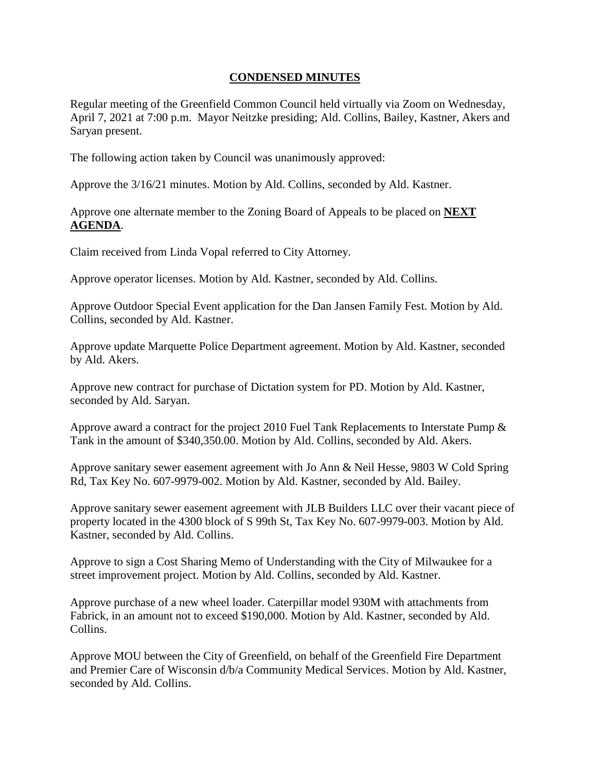## **CONDENSED MINUTES**

Regular meeting of the Greenfield Common Council held virtually via Zoom on Wednesday, April 7, 2021 at 7:00 p.m. Mayor Neitzke presiding; Ald. Collins, Bailey, Kastner, Akers and Saryan present.

The following action taken by Council was unanimously approved:

Approve the 3/16/21 minutes. Motion by Ald. Collins, seconded by Ald. Kastner.

Approve one alternate member to the Zoning Board of Appeals to be placed on **NEXT AGENDA**.

Claim received from Linda Vopal referred to City Attorney.

Approve operator licenses. Motion by Ald. Kastner, seconded by Ald. Collins.

Approve Outdoor Special Event application for the Dan Jansen Family Fest. Motion by Ald. Collins, seconded by Ald. Kastner.

Approve update Marquette Police Department agreement. Motion by Ald. Kastner, seconded by Ald. Akers.

Approve new contract for purchase of Dictation system for PD. Motion by Ald. Kastner, seconded by Ald. Saryan.

Approve award a contract for the project 2010 Fuel Tank Replacements to Interstate Pump & Tank in the amount of \$340,350.00. Motion by Ald. Collins, seconded by Ald. Akers.

Approve sanitary sewer easement agreement with Jo Ann & Neil Hesse, 9803 W Cold Spring Rd, Tax Key No. 607-9979-002. Motion by Ald. Kastner, seconded by Ald. Bailey.

Approve sanitary sewer easement agreement with JLB Builders LLC over their vacant piece of property located in the 4300 block of S 99th St, Tax Key No. 607-9979-003. Motion by Ald. Kastner, seconded by Ald. Collins.

Approve to sign a Cost Sharing Memo of Understanding with the City of Milwaukee for a street improvement project. Motion by Ald. Collins, seconded by Ald. Kastner.

Approve purchase of a new wheel loader. Caterpillar model 930M with attachments from Fabrick, in an amount not to exceed \$190,000. Motion by Ald. Kastner, seconded by Ald. Collins.

Approve MOU between the City of Greenfield, on behalf of the Greenfield Fire Department and Premier Care of Wisconsin d/b/a Community Medical Services. Motion by Ald. Kastner, seconded by Ald. Collins.